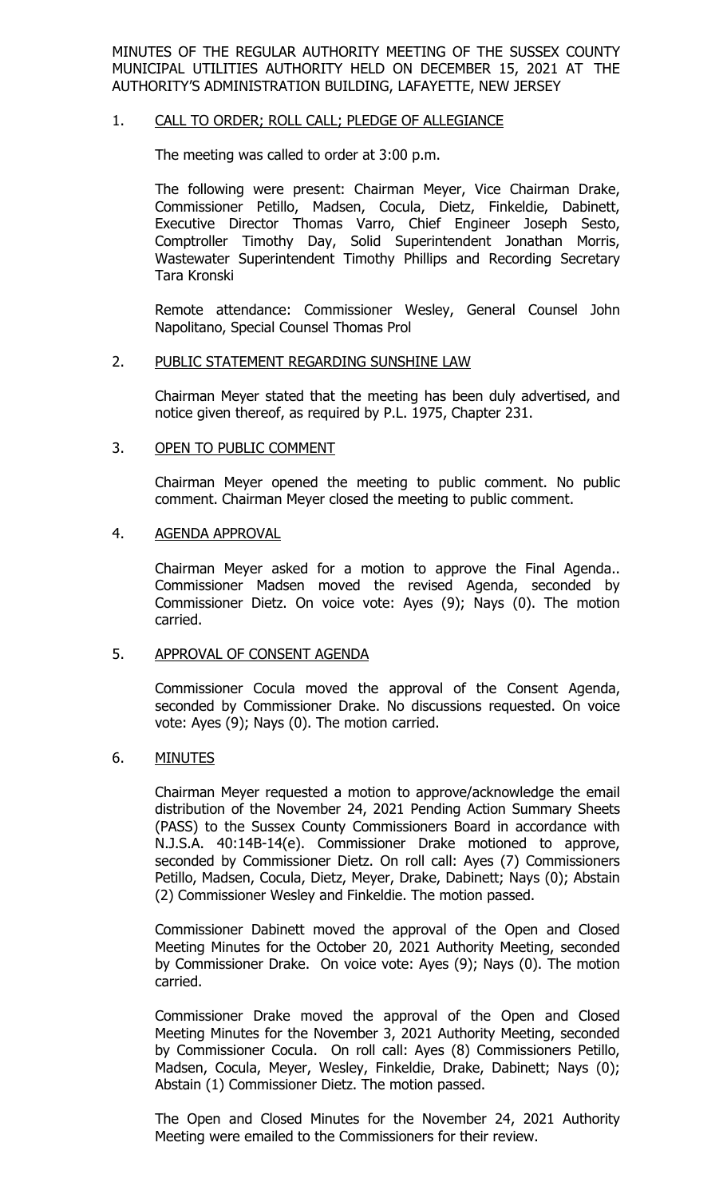MINUTES OF THE REGULAR AUTHORITY MEETING OF THE SUSSEX COUNTY MUNICIPAL UTILITIES AUTHORITY HELD ON DECEMBER 15, 2021 AT THE AUTHORITY'S ADMINISTRATION BUILDING, LAFAYETTE, NEW JERSEY

### 1. CALL TO ORDER; ROLL CALL; PLEDGE OF ALLEGIANCE

The meeting was called to order at 3:00 p.m.

The following were present: Chairman Meyer, Vice Chairman Drake, Commissioner Petillo, Madsen, Cocula, Dietz, Finkeldie, Dabinett, Executive Director Thomas Varro, Chief Engineer Joseph Sesto, Comptroller Timothy Day, Solid Superintendent Jonathan Morris, Wastewater Superintendent Timothy Phillips and Recording Secretary Tara Kronski

Remote attendance: Commissioner Wesley, General Counsel John Napolitano, Special Counsel Thomas Prol

#### 2. PUBLIC STATEMENT REGARDING SUNSHINE LAW

Chairman Meyer stated that the meeting has been duly advertised, and notice given thereof, as required by P.L. 1975, Chapter 231.

#### 3. OPEN TO PUBLIC COMMENT

Chairman Meyer opened the meeting to public comment. No public comment. Chairman Meyer closed the meeting to public comment.

#### 4. AGENDA APPROVAL

Chairman Meyer asked for a motion to approve the Final Agenda.. Commissioner Madsen moved the revised Agenda, seconded by Commissioner Dietz. On voice vote: Ayes (9); Nays (0). The motion carried.

#### 5. APPROVAL OF CONSENT AGENDA

Commissioner Cocula moved the approval of the Consent Agenda, seconded by Commissioner Drake. No discussions requested. On voice vote: Ayes (9); Nays (0). The motion carried.

### 6. MINUTES

Chairman Meyer requested a motion to approve/acknowledge the email distribution of the November 24, 2021 Pending Action Summary Sheets (PASS) to the Sussex County Commissioners Board in accordance with N.J.S.A. 40:14B-14(e). Commissioner Drake motioned to approve, seconded by Commissioner Dietz. On roll call: Ayes (7) Commissioners Petillo, Madsen, Cocula, Dietz, Meyer, Drake, Dabinett; Nays (0); Abstain (2) Commissioner Wesley and Finkeldie. The motion passed.

Commissioner Dabinett moved the approval of the Open and Closed Meeting Minutes for the October 20, 2021 Authority Meeting, seconded by Commissioner Drake. On voice vote: Ayes (9); Nays (0). The motion carried.

Commissioner Drake moved the approval of the Open and Closed Meeting Minutes for the November 3, 2021 Authority Meeting, seconded by Commissioner Cocula. On roll call: Ayes (8) Commissioners Petillo, Madsen, Cocula, Meyer, Wesley, Finkeldie, Drake, Dabinett; Nays (0); Abstain (1) Commissioner Dietz. The motion passed.

The Open and Closed Minutes for the November 24, 2021 Authority Meeting were emailed to the Commissioners for their review.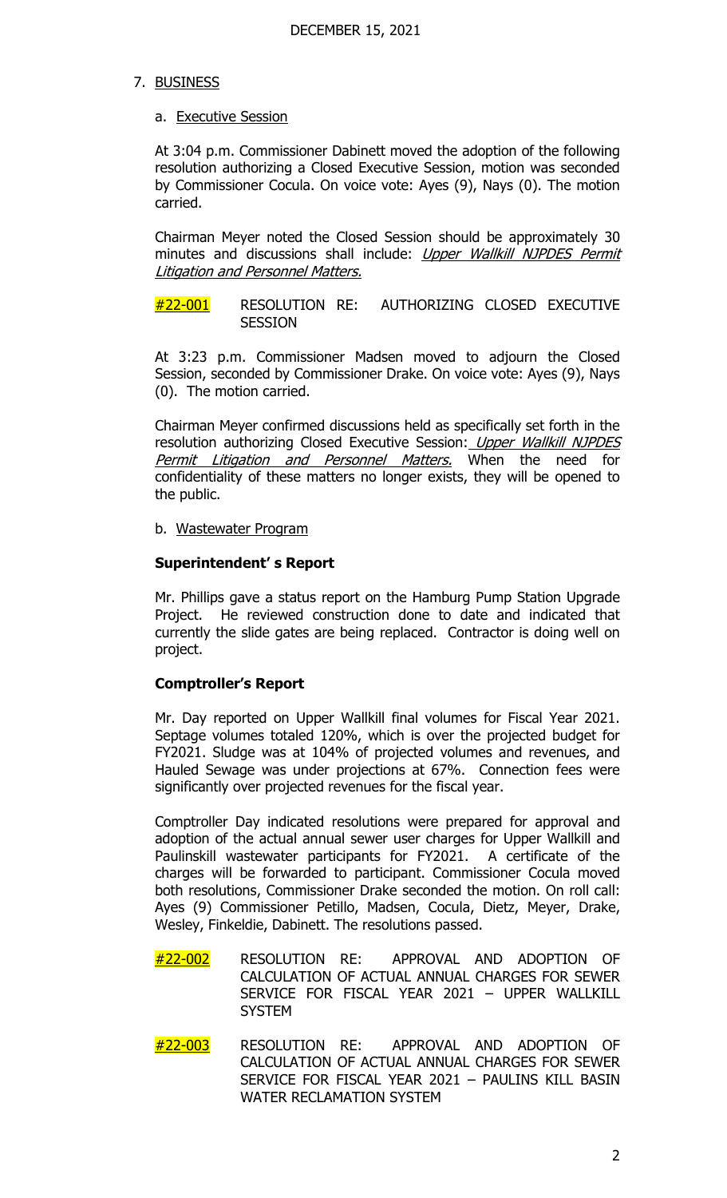# 7. BUSINESS

# a. Executive Session

At 3:04 p.m. Commissioner Dabinett moved the adoption of the following resolution authorizing a Closed Executive Session, motion was seconded by Commissioner Cocula. On voice vote: Ayes (9), Nays (0). The motion carried.

Chairman Meyer noted the Closed Session should be approximately 30 minutes and discussions shall include: Upper Wallkill NJPDES Permit Litigation and Personnel Matters.

#22-001 RESOLUTION RE: AUTHORIZING CLOSED EXECUTIVE **SESSION** 

At 3:23 p.m. Commissioner Madsen moved to adjourn the Closed Session, seconded by Commissioner Drake. On voice vote: Ayes (9), Nays (0). The motion carried.

Chairman Meyer confirmed discussions held as specifically set forth in the resolution authorizing Closed Executive Session: Upper Wallkill NJPDES Permit Litigation and Personnel Matters. When the need for confidentiality of these matters no longer exists, they will be opened to the public.

b. Wastewater Program

### **Superintendent' s Report**

Mr. Phillips gave a status report on the Hamburg Pump Station Upgrade Project. He reviewed construction done to date and indicated that currently the slide gates are being replaced. Contractor is doing well on project.

# **Comptroller's Report**

Mr. Day reported on Upper Wallkill final volumes for Fiscal Year 2021. Septage volumes totaled 120%, which is over the projected budget for FY2021. Sludge was at 104% of projected volumes and revenues, and Hauled Sewage was under projections at 67%. Connection fees were significantly over projected revenues for the fiscal year.

Comptroller Day indicated resolutions were prepared for approval and adoption of the actual annual sewer user charges for Upper Wallkill and Paulinskill wastewater participants for FY2021. A certificate of the charges will be forwarded to participant. Commissioner Cocula moved both resolutions, Commissioner Drake seconded the motion. On roll call: Ayes (9) Commissioner Petillo, Madsen, Cocula, Dietz, Meyer, Drake, Wesley, Finkeldie, Dabinett. The resolutions passed.

- #22-002 RESOLUTION RE: APPROVAL AND ADOPTION OF CALCULATION OF ACTUAL ANNUAL CHARGES FOR SEWER SERVICE FOR FISCAL YEAR 2021 – UPPER WALLKILL **SYSTEM**
- #22-003 RESOLUTION RE: APPROVAL AND ADOPTION OF CALCULATION OF ACTUAL ANNUAL CHARGES FOR SEWER SERVICE FOR FISCAL YEAR 2021 – PAULINS KILL BASIN WATER RECLAMATION SYSTEM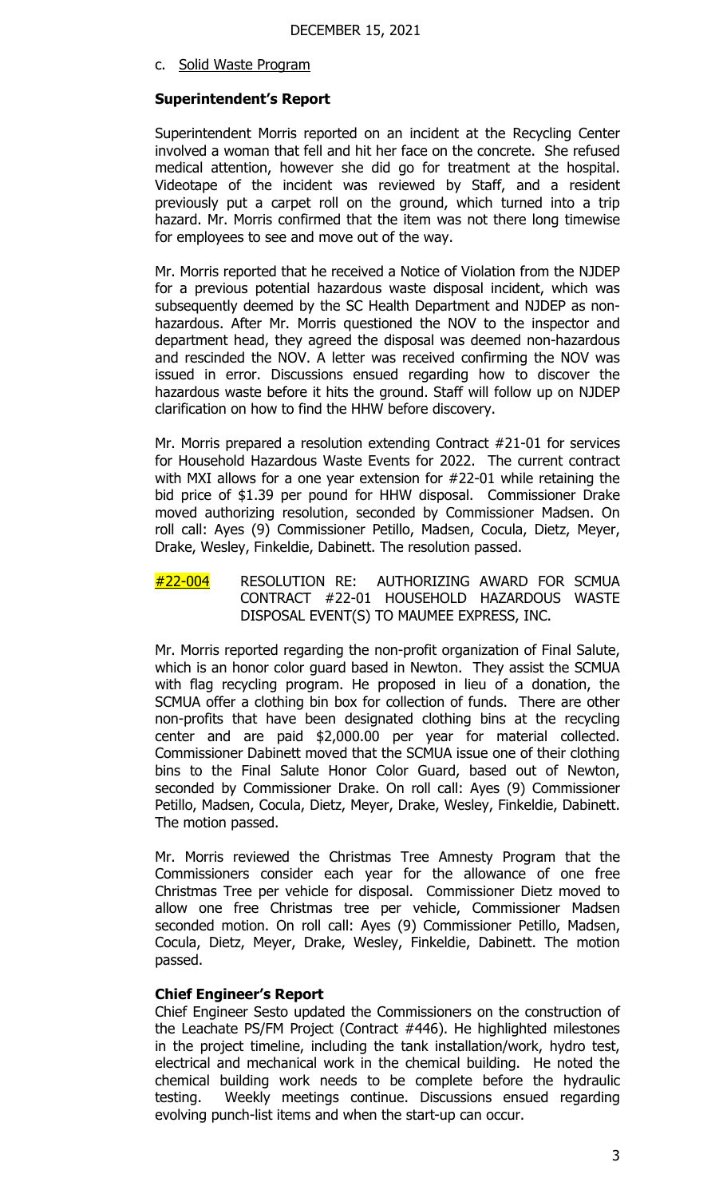c. Solid Waste Program

### **Superintendent's Report**

Superintendent Morris reported on an incident at the Recycling Center involved a woman that fell and hit her face on the concrete. She refused medical attention, however she did go for treatment at the hospital. Videotape of the incident was reviewed by Staff, and a resident previously put a carpet roll on the ground, which turned into a trip hazard. Mr. Morris confirmed that the item was not there long timewise for employees to see and move out of the way.

Mr. Morris reported that he received a Notice of Violation from the NJDEP for a previous potential hazardous waste disposal incident, which was subsequently deemed by the SC Health Department and NJDEP as nonhazardous. After Mr. Morris questioned the NOV to the inspector and department head, they agreed the disposal was deemed non-hazardous and rescinded the NOV. A letter was received confirming the NOV was issued in error. Discussions ensued regarding how to discover the hazardous waste before it hits the ground. Staff will follow up on NJDEP clarification on how to find the HHW before discovery.

Mr. Morris prepared a resolution extending Contract #21-01 for services for Household Hazardous Waste Events for 2022. The current contract with MXI allows for a one year extension for #22-01 while retaining the bid price of \$1.39 per pound for HHW disposal. Commissioner Drake moved authorizing resolution, seconded by Commissioner Madsen. On roll call: Ayes (9) Commissioner Petillo, Madsen, Cocula, Dietz, Meyer, Drake, Wesley, Finkeldie, Dabinett. The resolution passed.

#22-004 RESOLUTION RE: AUTHORIZING AWARD FOR SCMUA CONTRACT #22-01 HOUSEHOLD HAZARDOUS WASTE DISPOSAL EVENT(S) TO MAUMEE EXPRESS, INC.

Mr. Morris reported regarding the non-profit organization of Final Salute, which is an honor color guard based in Newton. They assist the SCMUA with flag recycling program. He proposed in lieu of a donation, the SCMUA offer a clothing bin box for collection of funds. There are other non-profits that have been designated clothing bins at the recycling center and are paid \$2,000.00 per year for material collected. Commissioner Dabinett moved that the SCMUA issue one of their clothing bins to the Final Salute Honor Color Guard, based out of Newton, seconded by Commissioner Drake. On roll call: Ayes (9) Commissioner Petillo, Madsen, Cocula, Dietz, Meyer, Drake, Wesley, Finkeldie, Dabinett. The motion passed.

Mr. Morris reviewed the Christmas Tree Amnesty Program that the Commissioners consider each year for the allowance of one free Christmas Tree per vehicle for disposal. Commissioner Dietz moved to allow one free Christmas tree per vehicle, Commissioner Madsen seconded motion. On roll call: Ayes (9) Commissioner Petillo, Madsen, Cocula, Dietz, Meyer, Drake, Wesley, Finkeldie, Dabinett. The motion passed.

### **Chief Engineer's Report**

Chief Engineer Sesto updated the Commissioners on the construction of the Leachate PS/FM Project (Contract #446). He highlighted milestones in the project timeline, including the tank installation/work, hydro test, electrical and mechanical work in the chemical building. He noted the chemical building work needs to be complete before the hydraulic testing. Weekly meetings continue. Discussions ensued regarding evolving punch-list items and when the start-up can occur.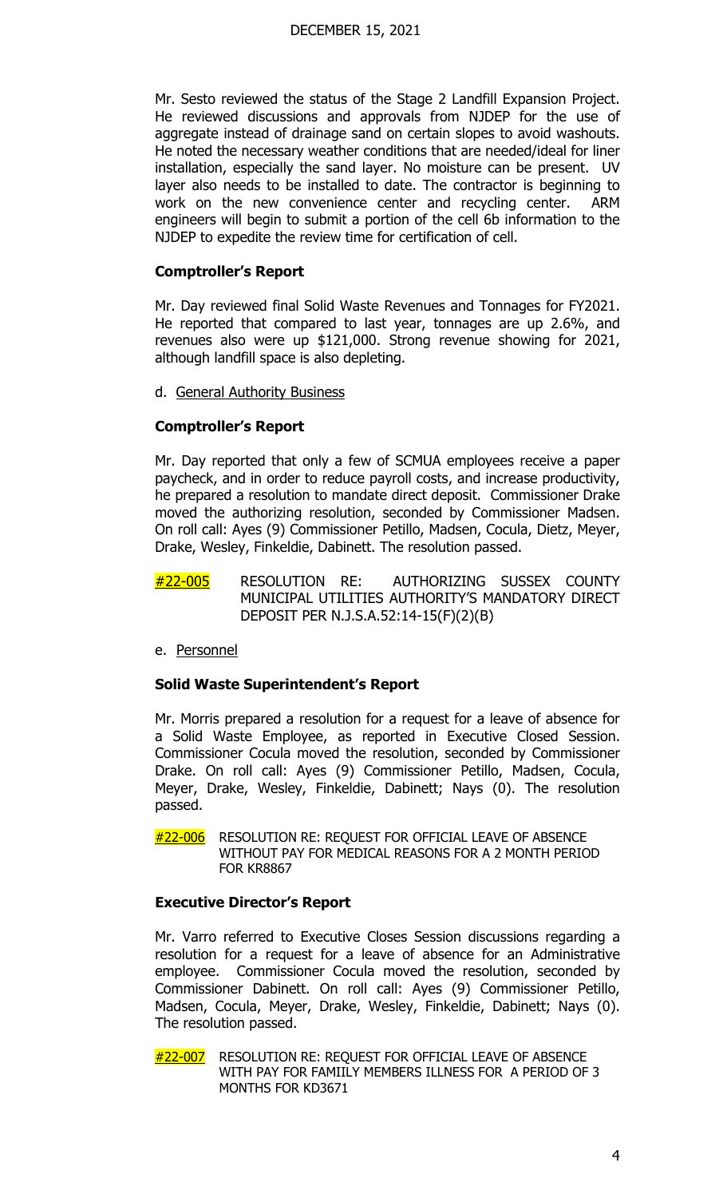Mr. Sesto reviewed the status of the Stage 2 Landfill Expansion Project. He reviewed discussions and approvals from NJDEP for the use of aggregate instead of drainage sand on certain slopes to avoid washouts. He noted the necessary weather conditions that are needed/ideal for liner installation, especially the sand layer. No moisture can be present. UV layer also needs to be installed to date. The contractor is beginning to work on the new convenience center and recycling center. ARM engineers will begin to submit a portion of the cell 6b information to the NJDEP to expedite the review time for certification of cell.

# **Comptroller's Report**

Mr. Day reviewed final Solid Waste Revenues and Tonnages for FY2021. He reported that compared to last year, tonnages are up 2.6%, and revenues also were up \$121,000. Strong revenue showing for 2021, although landfill space is also depleting.

d. General Authority Business

# **Comptroller's Report**

Mr. Day reported that only a few of SCMUA employees receive a paper paycheck, and in order to reduce payroll costs, and increase productivity, he prepared a resolution to mandate direct deposit. Commissioner Drake moved the authorizing resolution, seconded by Commissioner Madsen. On roll call: Ayes (9) Commissioner Petillo, Madsen, Cocula, Dietz, Meyer, Drake, Wesley, Finkeldie, Dabinett. The resolution passed.

- #22-005 RESOLUTION RE: AUTHORIZING SUSSEX COUNTY MUNICIPAL UTILITIES AUTHORITY'S MANDATORY DIRECT DEPOSIT PER N.J.S.A.52:14-15(F)(2)(B)
- e. Personnel

### **Solid Waste Superintendent's Report**

Mr. Morris prepared a resolution for a request for a leave of absence for a Solid Waste Employee, as reported in Executive Closed Session. Commissioner Cocula moved the resolution, seconded by Commissioner Drake. On roll call: Ayes (9) Commissioner Petillo, Madsen, Cocula, Meyer, Drake, Wesley, Finkeldie, Dabinett; Nays (0). The resolution passed.

#22-006 RESOLUTION RE: REQUEST FOR OFFICIAL LEAVE OF ABSENCE WITHOUT PAY FOR MEDICAL REASONS FOR A 2 MONTH PERIOD **FOR KR8867** 

### **Executive Director's Report**

Mr. Varro referred to Executive Closes Session discussions regarding a resolution for a request for a leave of absence for an Administrative employee. Commissioner Cocula moved the resolution, seconded by Commissioner Dabinett. On roll call: Ayes (9) Commissioner Petillo, Madsen, Cocula, Meyer, Drake, Wesley, Finkeldie, Dabinett; Nays (0). The resolution passed.

#22-007 RESOLUTION RE: REQUEST FOR OFFICIAL LEAVE OF ABSENCE WITH PAY FOR FAMIILY MEMBERS ILLNESS FOR A PERIOD OF 3 MONTHS FOR KD3671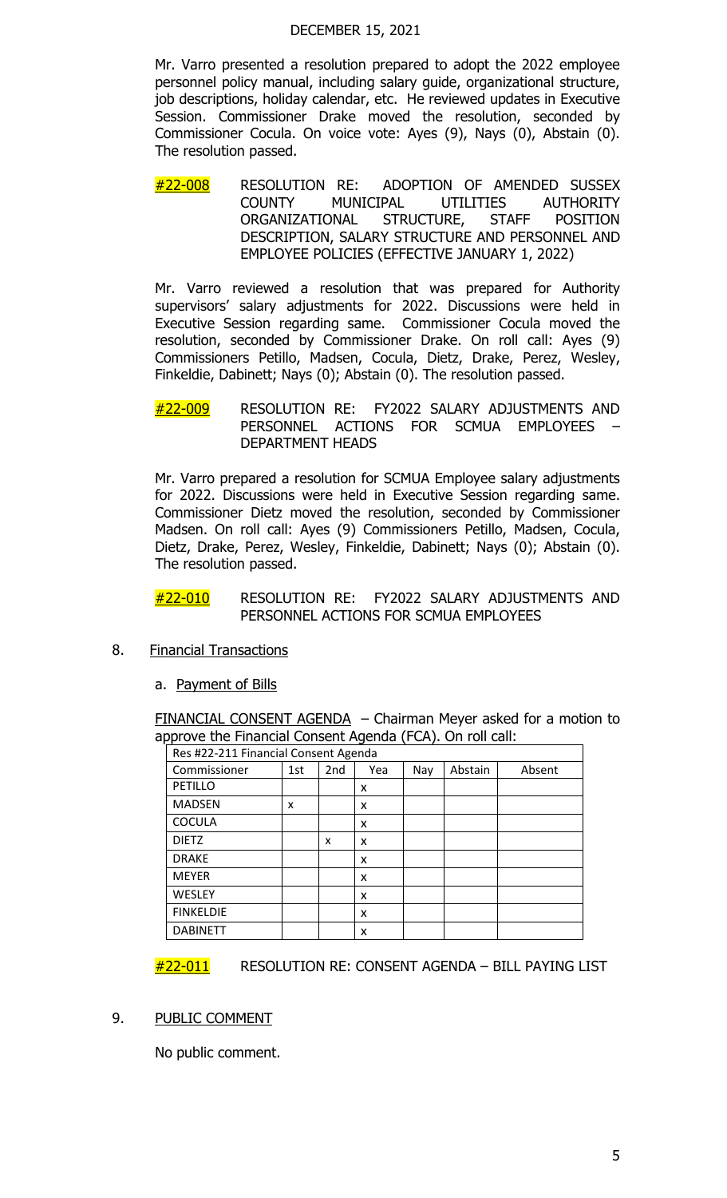#### DECEMBER 15, 2021

Mr. Varro presented a resolution prepared to adopt the 2022 employee personnel policy manual, including salary guide, organizational structure, job descriptions, holiday calendar, etc. He reviewed updates in Executive Session. Commissioner Drake moved the resolution, seconded by Commissioner Cocula. On voice vote: Ayes (9), Nays (0), Abstain (0). The resolution passed.

#22-008 RESOLUTION RE: ADOPTION OF AMENDED SUSSEX COUNTY MUNICIPAL UTILITIES AUTHORITY ORGANIZATIONAL STRUCTURE, STAFF POSITION DESCRIPTION, SALARY STRUCTURE AND PERSONNEL AND EMPLOYEE POLICIES (EFFECTIVE JANUARY 1, 2022)

Mr. Varro reviewed a resolution that was prepared for Authority supervisors' salary adjustments for 2022. Discussions were held in Executive Session regarding same. Commissioner Cocula moved the resolution, seconded by Commissioner Drake. On roll call: Ayes (9) Commissioners Petillo, Madsen, Cocula, Dietz, Drake, Perez, Wesley, Finkeldie, Dabinett; Nays (0); Abstain (0). The resolution passed.

#22-009 RESOLUTION RE: FY2022 SALARY ADJUSTMENTS AND PERSONNEL ACTIONS FOR SCMUA EMPLOYEES – DEPARTMENT HEADS

Mr. Varro prepared a resolution for SCMUA Employee salary adjustments for 2022. Discussions were held in Executive Session regarding same. Commissioner Dietz moved the resolution, seconded by Commissioner Madsen. On roll call: Ayes (9) Commissioners Petillo, Madsen, Cocula, Dietz, Drake, Perez, Wesley, Finkeldie, Dabinett; Nays (0); Abstain (0). The resolution passed.

#22-010 RESOLUTION RE: FY2022 SALARY ADJUSTMENTS AND PERSONNEL ACTIONS FOR SCMUA EMPLOYEES

- 8. Financial Transactions
	- a. Payment of Bills

FINANCIAL CONSENT AGENDA - Chairman Meyer asked for a motion to approve the Financial Consent Agenda (FCA). On roll call:

| Res #22-211 Financial Consent Agenda |     |                 |     |     |         |        |
|--------------------------------------|-----|-----------------|-----|-----|---------|--------|
| Commissioner                         | 1st | 2 <sub>nd</sub> | Yea | Nay | Abstain | Absent |
| <b>PETILLO</b>                       |     |                 | x   |     |         |        |
| <b>MADSEN</b>                        | X   |                 | x   |     |         |        |
| <b>COCULA</b>                        |     |                 | x   |     |         |        |
| <b>DIETZ</b>                         |     | x               | x   |     |         |        |
| <b>DRAKE</b>                         |     |                 | X   |     |         |        |
| <b>MEYER</b>                         |     |                 | X   |     |         |        |
| <b>WESLEY</b>                        |     |                 | X   |     |         |        |
| <b>FINKELDIE</b>                     |     |                 | X   |     |         |        |
| <b>DABINETT</b>                      |     |                 | x   |     |         |        |

#22-011 RESOLUTION RE: CONSENT AGENDA – BILL PAYING LIST

### 9. PUBLIC COMMENT

No public comment.